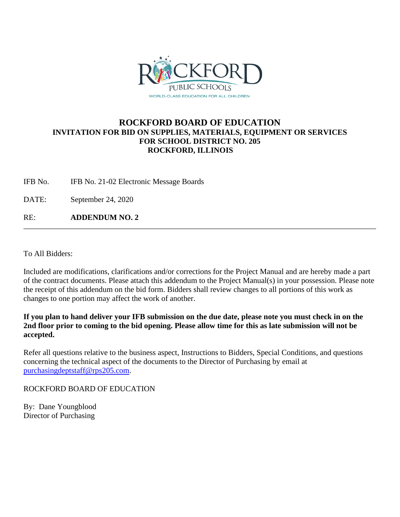

## **ROCKFORD BOARD OF EDUCATION INVITATION FOR BID ON SUPPLIES, MATERIALS, EQUIPMENT OR SERVICES FOR SCHOOL DISTRICT NO. 205 ROCKFORD, ILLINOIS**

IFB No. IFB No. 21-02 Electronic Message Boards

DATE: September 24, 2020

RE: **ADDENDUM NO. 2**

To All Bidders:

Included are modifications, clarifications and/or corrections for the Project Manual and are hereby made a part of the contract documents. Please attach this addendum to the Project Manual(s) in your possession. Please note the receipt of this addendum on the bid form. Bidders shall review changes to all portions of this work as changes to one portion may affect the work of another.

**If you plan to hand deliver your IFB submission on the due date, please note you must check in on the 2nd floor prior to coming to the bid opening. Please allow time for this as late submission will not be accepted.**

Refer all questions relative to the business aspect, Instructions to Bidders, Special Conditions, and questions concerning the technical aspect of the documents to the Director of Purchasing by email at [purchasingdeptstaff@rps205.com.](mailto:purchasingdeptstaff@rps205.com)

ROCKFORD BOARD OF EDUCATION

By: Dane Youngblood Director of Purchasing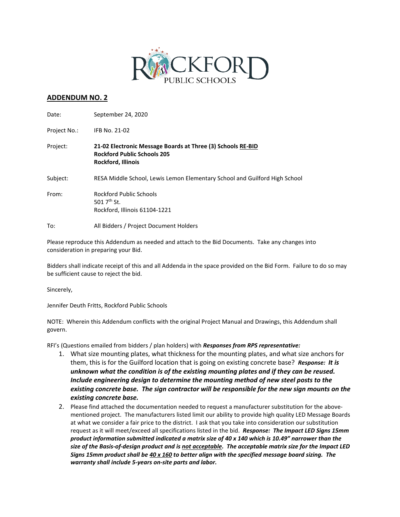

## **ADDENDUM NO. 2**

| Date:        | September 24, 2020                                                                                                             |
|--------------|--------------------------------------------------------------------------------------------------------------------------------|
| Project No.: | IFB No. 21-02                                                                                                                  |
| Project:     | 21-02 Electronic Message Boards at Three (3) Schools RE-BID<br><b>Rockford Public Schools 205</b><br><b>Rockford, Illinois</b> |
| Subject:     | RESA Middle School, Lewis Lemon Elementary School and Guilford High School                                                     |
| From:        | Rockford Public Schools<br>501 $7th$ St.<br>Rockford, Illinois 61104-1221                                                      |
| To:          | All Bidders / Project Document Holders                                                                                         |

Please reproduce this Addendum as needed and attach to the Bid Documents. Take any changes into consideration in preparing your Bid.

Bidders shall indicate receipt of this and all Addenda in the space provided on the Bid Form. Failure to do so may be sufficient cause to reject the bid.

Sincerely,

Jennifer Deuth Fritts, Rockford Public Schools

NOTE: Wherein this Addendum conflicts with the original Project Manual and Drawings, this Addendum shall govern.

RFI's (Questions emailed from bidders / plan holders) with *Responses from RPS representative:*

- 1. What size mounting plates, what thickness for the mounting plates, and what size anchors for them, this is for the Guilford location that is going on existing concrete base? *Response: It is unknown what the condition is of the existing mounting plates and if they can be reused. Include engineering design to determine the mounting method of new steel posts to the existing concrete base. The sign contractor will be responsible for the new sign mounts on the existing concrete base.*
- 2. Please find attached the documentation needed to request a manufacturer substitution for the abovementioned project. The manufacturers listed limit our ability to provide high quality LED Message Boards at what we consider a fair price to the district. I ask that you take into consideration our substitution request as it will meet/exceed all specifications listed in the bid. *Response: The Impact LED Signs 15mm product information submitted indicated a matrix size of 40 x 140 which is 10.49" narrower than the size of the Basis-of-design product and is not acceptable. The acceptable matrix size for the Impact LED Signs 15mm product shall be 40 x 160 to better align with the specified message board sizing. The warranty shall include 5-years on-site parts and labor.*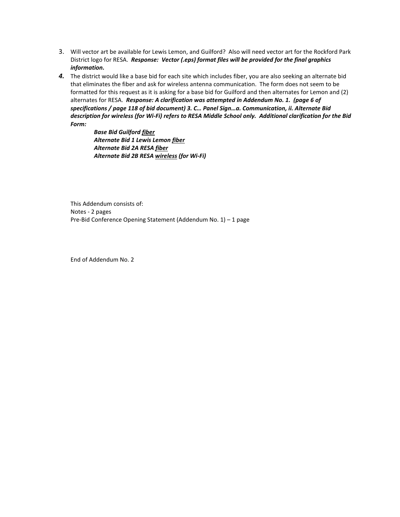- 3. Will vector art be available for Lewis Lemon, and Guilford? Also will need vector art for the Rockford Park District logo for RESA. *Response: Vector (.eps) format files will be provided for the final graphics information.*
- *4.* The district would like a base bid for each site which includes fiber, you are also seeking an alternate bid that eliminates the fiber and ask for wireless antenna communication. The form does not seem to be formatted for this request as it is asking for a base bid for Guilford and then alternates for Lemon and (2) alternates for RESA. *Response: A clarification was attempted in Addendum No. 1. (page 6 of specifications / page 118 of bid document) 3. C… Panel Sign…a. Communication, ii. Alternate Bid description for wireless (for Wi-Fi) refers to RESA Middle School only. Additional clarification for the Bid Form:*

*Base Bid Guilford fiber Alternate Bid 1 Lewis Lemon fiber Alternate Bid 2A RESA fiber Alternate Bid 2B RESA wireless (for Wi-Fi)*

This Addendum consists of: Notes - 2 pages Pre-Bid Conference Opening Statement (Addendum No. 1) – 1 page

End of Addendum No. 2